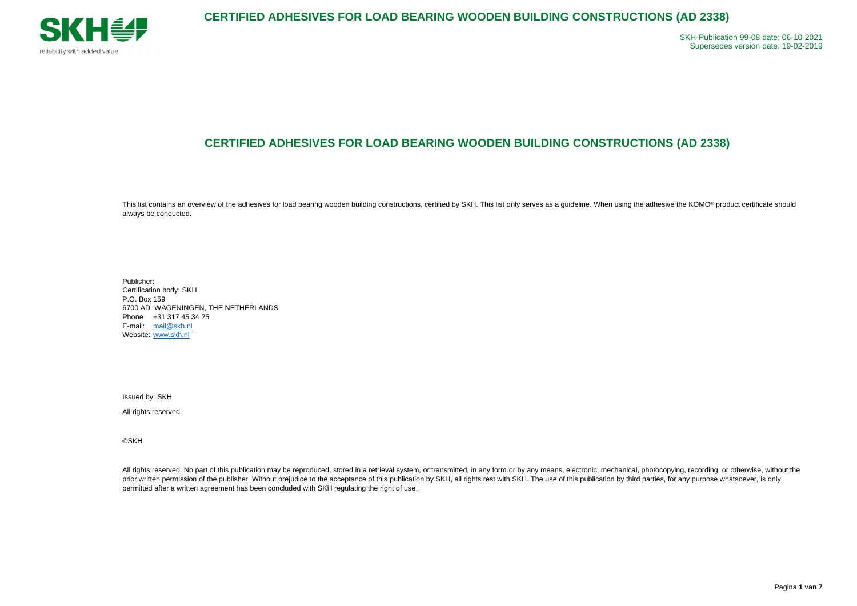

Pagina **1** van **7**

# **CERTIFIED ADHESIVES FOR LOAD BEARING WOODEN BUILDING CONSTRUCTIONS (AD 2338)**

This list contains an overview of the adhesives for load bearing wooden building constructions, certified by SKH. This list only serves as a guideline. When using the adhesive the KOMO® product certificate should always be conducted.

Publisher: Certification body: SKH P.O. Box 159 6700 AD WAGENINGEN, THE NETHERLANDS Phone +31 317 45 34 25 E-mail: [mail@skh.nl](mailto:mail@skh.nl) Website: [www.skh.nl](http://www.skh.nl/)

All rights reserved. No part of this publication may be reproduced, stored in a retrieval system, or transmitted, in any form or by any means, electronic, mechanical, photocopying, recording, or otherwise, without the prior written permission of the publisher. Without prejudice to the acceptance of this publication by SKH, all rights rest with SKH. The use of this publication by third parties, for any purpose whatsoever, is only permitted after a written agreement has been concluded with SKH regulating the right of use.

Issued by: SKH

All rights reserved

©SKH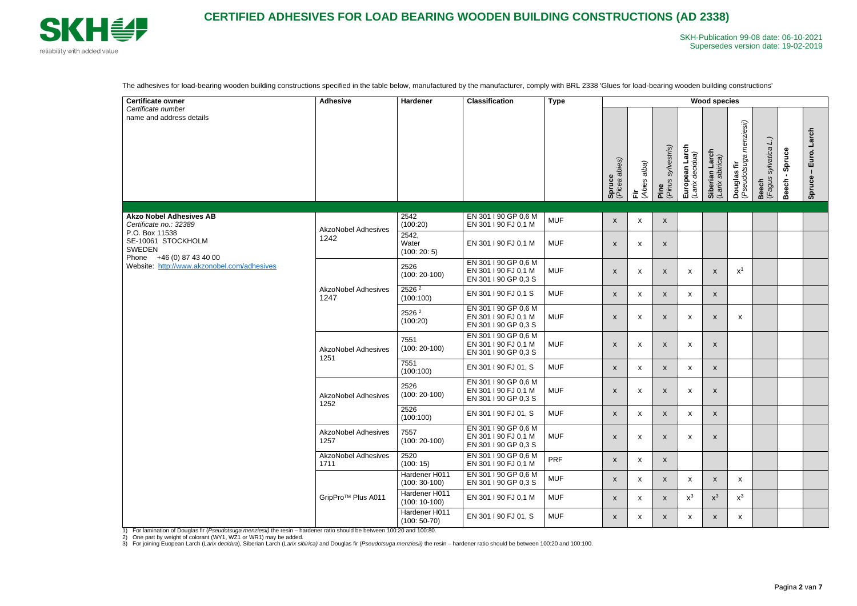

The adhesives for load-bearing wooden building constructions specified in the table below, manufactured by the manufacturer, comply with BRL 2338 'Glues for load-bearing wooden building constructions'

| <b>Certificate owner</b>                                                                                                                                    | <b>Adhesive</b>                    | <b>Hardener</b>                  | <b>Classification</b>                                                | <b>Type</b> | <b>Wood species</b>       |                           |                               |                                   |                                    |                                                            |                                              |                        |                          |  |
|-------------------------------------------------------------------------------------------------------------------------------------------------------------|------------------------------------|----------------------------------|----------------------------------------------------------------------|-------------|---------------------------|---------------------------|-------------------------------|-----------------------------------|------------------------------------|------------------------------------------------------------|----------------------------------------------|------------------------|--------------------------|--|
| Certificate number<br>name and address details                                                                                                              |                                    |                                  |                                                                      |             | Spruce<br>(Picea abies)   | alba)<br>(Abies<br>這      | sylvestris)<br>Pine<br>(Pinus | European Larch<br>(Larix decidua) | Siberian Larch<br>(Larix sibirica) | menziesii)<br><b>Douglas fir</b><br>( <i>Pseudotsuga i</i> | <b>Beech</b><br>( <i>Fagus sylvatica L.)</i> | Spruce<br><b>Beech</b> | Larch<br>Euro.<br>Spruce |  |
| <b>Akzo Nobel Adhesives AB</b>                                                                                                                              | <b>AkzoNobel Adhesives</b><br>1242 | 2542                             | EN 301 I 90 GP 0,6 M                                                 | <b>MUF</b>  | $\pmb{\mathsf{X}}$        | $\mathsf{x}$              | $\mathsf{X}$                  |                                   |                                    |                                                            |                                              |                        |                          |  |
| Certificate no.: 32389<br>P.O. Box 11538<br>SE-10061 STOCKHOLM<br><b>SWEDEN</b><br>Phone +46 (0) 87 43 40 00<br>Website: http://www.akzonobel.com/adhesives |                                    | (100:20)<br>2542,                | EN 301 I 90 FJ 0,1 M                                                 |             |                           |                           |                               |                                   |                                    |                                                            |                                              |                        |                          |  |
|                                                                                                                                                             |                                    | Water<br>(100:20:5)              | EN 301 I 90 FJ 0,1 M                                                 | <b>MUF</b>  | $\boldsymbol{\mathsf{X}}$ | $\boldsymbol{\mathsf{x}}$ | X                             |                                   |                                    |                                                            |                                              |                        |                          |  |
|                                                                                                                                                             | <b>AkzoNobel Adhesives</b><br>1247 | 2526<br>$(100:20-100)$           | EN 301 I 90 GP 0,6 M<br>EN 301 I 90 FJ 0,1 M<br>EN 301 I 90 GP 0,3 S | <b>MUF</b>  | X                         | $\boldsymbol{\mathsf{x}}$ | X                             | X                                 | $\boldsymbol{\mathsf{X}}$          | $X^1$                                                      |                                              |                        |                          |  |
|                                                                                                                                                             |                                    | 2526 <sup>2</sup><br>(100:100)   | EN 301   90 FJ 0,1 S                                                 | <b>MUF</b>  | $\boldsymbol{\mathsf{x}}$ | $\mathsf{x}$              | $\boldsymbol{\mathsf{x}}$     | $\boldsymbol{\mathsf{x}}$         | $\mathsf{x}$                       |                                                            |                                              |                        |                          |  |
|                                                                                                                                                             |                                    | 2526 <sup>2</sup><br>(100:20)    | EN 301 I 90 GP 0,6 M<br>EN 301   90 FJ 0,1 M<br>EN 301   90 GP 0,3 S | <b>MUF</b>  | $\boldsymbol{\mathsf{X}}$ | $\boldsymbol{\mathsf{X}}$ | X                             | $\boldsymbol{\mathsf{X}}$         | $\boldsymbol{\mathsf{X}}$          | X                                                          |                                              |                        |                          |  |
|                                                                                                                                                             | <b>AkzoNobel Adhesives</b><br>1251 | 7551<br>$(100:20-100)$           | EN 301 I 90 GP 0,6 M<br>EN 301 I 90 FJ 0,1 M<br>EN 301 I 90 GP 0,3 S | <b>MUF</b>  | X                         | X                         | $\boldsymbol{\mathsf{X}}$     | $\boldsymbol{\mathsf{x}}$         | X                                  |                                                            |                                              |                        |                          |  |
|                                                                                                                                                             |                                    | 7551<br>(100:100)                | EN 301 I 90 FJ 01, S                                                 | <b>MUF</b>  | $\boldsymbol{\mathsf{X}}$ | $\mathsf{x}$              | X                             | $\boldsymbol{\mathsf{x}}$         | $\mathsf{x}$                       |                                                            |                                              |                        |                          |  |
|                                                                                                                                                             | <b>AkzoNobel Adhesives</b><br>1252 | 2526<br>$(100:20-100)$           | EN 301 I 90 GP 0,6 M<br>EN 301 I 90 FJ 0,1 M<br>EN 301 I 90 GP 0,3 S | <b>MUF</b>  | $\boldsymbol{\mathsf{X}}$ | $\boldsymbol{\mathsf{x}}$ | $\boldsymbol{\mathsf{x}}$     | $\pmb{\mathsf{X}}$                | $\boldsymbol{\mathsf{X}}$          |                                                            |                                              |                        |                          |  |
|                                                                                                                                                             |                                    | 2526<br>(100:100)                | EN 301 I 90 FJ 01, S                                                 | <b>MUF</b>  | $\mathsf{X}^-$            | $\boldsymbol{\mathsf{x}}$ | X                             | $\mathsf{x}$                      | $\mathsf{X}$                       |                                                            |                                              |                        |                          |  |
|                                                                                                                                                             | <b>AkzoNobel Adhesives</b><br>1257 | 7557<br>$(100:20-100)$           | EN 301 I 90 GP 0,6 M<br>EN 301   90 FJ 0,1 M<br>EN 301 I 90 GP 0,3 S | <b>MUF</b>  | $\boldsymbol{\mathsf{X}}$ | $\boldsymbol{\mathsf{x}}$ | X                             | $\pmb{\mathsf{X}}$                | $\boldsymbol{\mathsf{X}}$          |                                                            |                                              |                        |                          |  |
|                                                                                                                                                             | <b>AkzoNobel Adhesives</b><br>1711 | 2520<br>(100:15)                 | EN 301 I 90 GP 0,6 M<br>EN 301 I 90 FJ 0,1 M                         | PRF         | $\boldsymbol{\mathsf{X}}$ | $\mathsf{x}$              | X                             |                                   |                                    |                                                            |                                              |                        |                          |  |
|                                                                                                                                                             | GripPro <sup>™</sup> Plus A011     | Hardener H011<br>$(100:30-100)$  | EN 301 I 90 GP 0,6 M<br>EN 301 I 90 GP 0,3 S                         | <b>MUF</b>  | X                         | X                         | X                             | $\boldsymbol{\mathsf{x}}$         | $\mathsf{X}$                       | $\mathsf{x}$                                               |                                              |                        |                          |  |
|                                                                                                                                                             |                                    | Hardener H011<br>$(100: 10-100)$ | EN 301 I 90 FJ 0,1 M                                                 | <b>MUF</b>  | X                         | $\boldsymbol{\mathsf{x}}$ | X                             | $x^3$                             | $\mathsf{X}^3$                     | $x^3$                                                      |                                              |                        |                          |  |
|                                                                                                                                                             |                                    | Hardener H011<br>$(100: 50-70)$  | EN 301 I 90 FJ 01, S                                                 | <b>MUF</b>  | $\boldsymbol{\mathsf{X}}$ | X                         | X                             | $\mathsf{X}$                      | $\mathsf{X}$                       | $\boldsymbol{\mathsf{X}}$                                  |                                              |                        |                          |  |

1) For lamination of Douglas fir (*Pseudotsuga menziesii)* the resin – hardener ratio should be between 100:20 and 100:80.

2) One part by weight of colorant (WY1, WZ1 or WR1) may be added.

3) For joining Euopean Larch (*Larix decidua*), Siberian Larch (*Larix sibirica)* and Douglas fir (*Pseudotsuga menziesii)* the resin – hardener ratio should be between 100:20 and 100:100.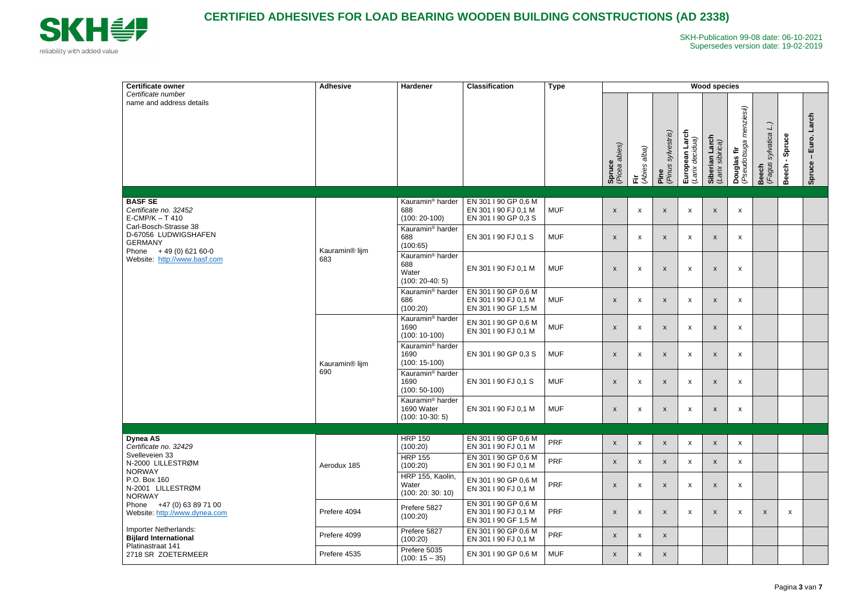

| <b>Certificate owner</b>                                                                                                                                                                | <b>Adhesive</b>                   | Hardener                                                          | <b>Classification</b>                                                | <b>Type</b> | <b>Wood species</b>       |                           |                                   |                                   |                                    |                                                       |                                                                                 |                        |                          |  |
|-----------------------------------------------------------------------------------------------------------------------------------------------------------------------------------------|-----------------------------------|-------------------------------------------------------------------|----------------------------------------------------------------------|-------------|---------------------------|---------------------------|-----------------------------------|-----------------------------------|------------------------------------|-------------------------------------------------------|---------------------------------------------------------------------------------|------------------------|--------------------------|--|
| Certificate number<br>name and address details                                                                                                                                          |                                   |                                                                   |                                                                      |             | Spruce<br>(Picea abies)   | alba)<br>Fir<br>(Abies    | <b>Pine</b><br>(Pinus sylvestris) | European Larch<br>(Larix decidua) | Siberian Larch<br>(Larix sibirica) | <b>Douglas fir</b><br>( <i>Pseudotsuga menziesii)</i> | $\begin{array}{c} \square \end{array}$<br>sylvatica<br><b>Beech</b><br>(Fagus : | Spruce<br><b>Beech</b> | Larch<br>Euro.<br>Spruce |  |
| <b>BASF SE</b><br>Certificate no. 32452<br>$E-CMP/K - T410$<br>Carl-Bosch-Strasse 38<br>D-67056 LUDWIGSHAFEN<br><b>GERMANY</b><br>Phone $+49(0)62160-0$<br>Website: http://www.basf.com | Kauramin <sup>®</sup> lijm<br>683 | Kauramin <sup>®</sup> harder<br>688<br>$(100:20-100)$             | EN 301 I 90 GP 0,6 M<br>EN 301   90 FJ 0,1 M<br>EN 301   90 GP 0,3 S | <b>MUF</b>  | $\pmb{\mathsf{X}}$        | $\boldsymbol{\mathsf{x}}$ | $\boldsymbol{\mathsf{x}}$         | X                                 | $\boldsymbol{\mathsf{X}}$          | $\boldsymbol{\mathsf{x}}$                             |                                                                                 |                        |                          |  |
|                                                                                                                                                                                         |                                   | Kauramin <sup>®</sup> harder<br>688<br>(100:65)                   | EN 301   90 FJ 0,1 S                                                 | <b>MUF</b>  | $\pmb{\mathsf{X}}$        | $\boldsymbol{\mathsf{x}}$ | $\boldsymbol{\mathsf{x}}$         | X                                 | $\boldsymbol{\mathsf{X}}$          | $\boldsymbol{\mathsf{x}}$                             |                                                                                 |                        |                          |  |
|                                                                                                                                                                                         |                                   | Kauramin <sup>®</sup> harder<br>688<br>Water<br>$(100: 20-40: 5)$ | EN 301   90 FJ 0,1 M                                                 | <b>MUF</b>  | $\boldsymbol{\mathsf{x}}$ | $\boldsymbol{\mathsf{x}}$ | $\boldsymbol{\mathsf{X}}$         | X                                 | X                                  | $\boldsymbol{\mathsf{x}}$                             |                                                                                 |                        |                          |  |
|                                                                                                                                                                                         |                                   | Kauramin <sup>®</sup> harder<br>686<br>(100:20)                   | EN 301 I 90 GP 0,6 M<br>EN 301   90 FJ 0,1 M<br>EN 301 I 90 GF 1,5 M | <b>MUF</b>  | $\boldsymbol{\mathsf{x}}$ | $\boldsymbol{\mathsf{x}}$ | $\boldsymbol{\mathsf{X}}$         | $\boldsymbol{\mathsf{x}}$         | $\mathsf{x}$                       | $\boldsymbol{\mathsf{X}}$                             |                                                                                 |                        |                          |  |
|                                                                                                                                                                                         | Kauramin <sup>®</sup> lijm        | Kauramin <sup>®</sup> harder<br>1690<br>$(100: 10-100)$           | EN 301 I 90 GP 0,6 M<br>EN 301   90 FJ 0,1 M                         | <b>MUF</b>  | $\mathsf{x}$              | $\boldsymbol{\mathsf{x}}$ | $\boldsymbol{\mathsf{x}}$         | X                                 | $\mathsf{X}$                       | $\boldsymbol{\mathsf{X}}$                             |                                                                                 |                        |                          |  |
|                                                                                                                                                                                         |                                   | Kauramin <sup>®</sup> harder<br>1690<br>$(100: 15-100)$           | EN 301   90 GP 0,3 S                                                 | <b>MUF</b>  | $\boldsymbol{\mathsf{X}}$ | $\boldsymbol{\mathsf{x}}$ | $\boldsymbol{\mathsf{x}}$         | X                                 | X                                  | X                                                     |                                                                                 |                        |                          |  |
|                                                                                                                                                                                         | 690                               | Kauramin <sup>®</sup> harder<br>1690<br>$(100:50-100)$            | EN 301   90 FJ 0,1 S                                                 | <b>MUF</b>  | $\mathsf{x}$              | $\boldsymbol{\mathsf{x}}$ | X                                 | X                                 | X                                  | $\boldsymbol{\mathsf{x}}$                             |                                                                                 |                        |                          |  |
|                                                                                                                                                                                         |                                   | Kauramin <sup>®</sup> harder<br>1690 Water<br>$(100: 10-30: 5)$   | EN 301 I 90 FJ 0,1 M                                                 | <b>MUF</b>  | $\boldsymbol{\mathsf{x}}$ | $\boldsymbol{\mathsf{x}}$ | X                                 | $\boldsymbol{\mathsf{x}}$         | $\boldsymbol{\mathsf{X}}$          | X                                                     |                                                                                 |                        |                          |  |
|                                                                                                                                                                                         |                                   |                                                                   |                                                                      |             |                           |                           |                                   |                                   |                                    |                                                       |                                                                                 |                        |                          |  |
| <b>Dynea AS</b><br>Certificate no. 32429<br>Svelleveien 33                                                                                                                              |                                   | <b>HRP 150</b><br>(100:20)                                        | EN 301 I 90 GP 0,6 M<br>EN 301   90 FJ 0,1 M                         | <b>PRF</b>  | $\mathsf{x}$              | $\mathsf{x}$              | $\mathsf{x}$                      | $\mathsf{x}$                      | $\mathsf{x}$                       | $\mathsf{x}$                                          |                                                                                 |                        |                          |  |
| N-2000 LILLESTRØM                                                                                                                                                                       | Aerodux 185                       | <b>HRP 155</b><br>(100:20)                                        | EN 301 I 90 GP 0,6 M<br>EN 301   90 FJ 0,1 M                         | <b>PRF</b>  | $\mathsf{x}$              | $\mathsf{x}$              | $\boldsymbol{\mathsf{x}}$         | $\mathsf{x}$                      | $\mathsf{x}$                       | $\mathsf{x}$                                          |                                                                                 |                        |                          |  |
| <b>NORWAY</b><br>P.O. Box 160<br>N-2001 LILLESTRØM<br><b>NORWAY</b><br>Phone +47 (0) 63 89 71 00<br>Website: http://www.dynea.com                                                       |                                   | HRP 155, Kaolin,<br>Water<br>(100: 20: 30: 10)                    | EN 301 I 90 GP 0,6 M<br>EN 301 I 90 FJ 0,1 M                         | <b>PRF</b>  | $\pmb{\mathsf{X}}$        | $\boldsymbol{\mathsf{x}}$ | $\boldsymbol{\mathsf{X}}$         | X                                 | $\mathsf{x}$                       | $\mathsf{x}$                                          |                                                                                 |                        |                          |  |
|                                                                                                                                                                                         | Prefere 4094                      | Prefere 5827<br>(100:20)                                          | EN 301 I 90 GP 0,6 M<br>EN 301   90 FJ 0,1 M<br>EN 301   90 GF 1,5 M | <b>PRF</b>  | $\mathsf{x}$              | $\boldsymbol{\mathsf{x}}$ | $\boldsymbol{\mathsf{x}}$         | $\pmb{\mathsf{X}}$                | $\mathsf{x}$                       | $\boldsymbol{\mathsf{x}}$                             | $\boldsymbol{\mathsf{x}}$                                                       | $\mathsf{x}$           |                          |  |
| Importer Netherlands:<br><b>Bijlard International</b>                                                                                                                                   | Prefere 4099                      | Prefere 5827<br>(100:20)                                          | EN 301 I 90 GP 0,6 M<br>EN 301   90 FJ 0,1 M                         | <b>PRF</b>  | $\mathsf{x}$              | $\boldsymbol{\mathsf{x}}$ | $\mathsf{x}$                      |                                   |                                    |                                                       |                                                                                 |                        |                          |  |
| Platinastraat 141<br>2718 SR ZOETERMEER                                                                                                                                                 | Prefere 4535                      | Prefere 5035<br>$(100: 15 - 35)$                                  | EN 301 I 90 GP 0,6 M                                                 | <b>MUF</b>  | X                         | X                         | X                                 |                                   |                                    |                                                       |                                                                                 |                        |                          |  |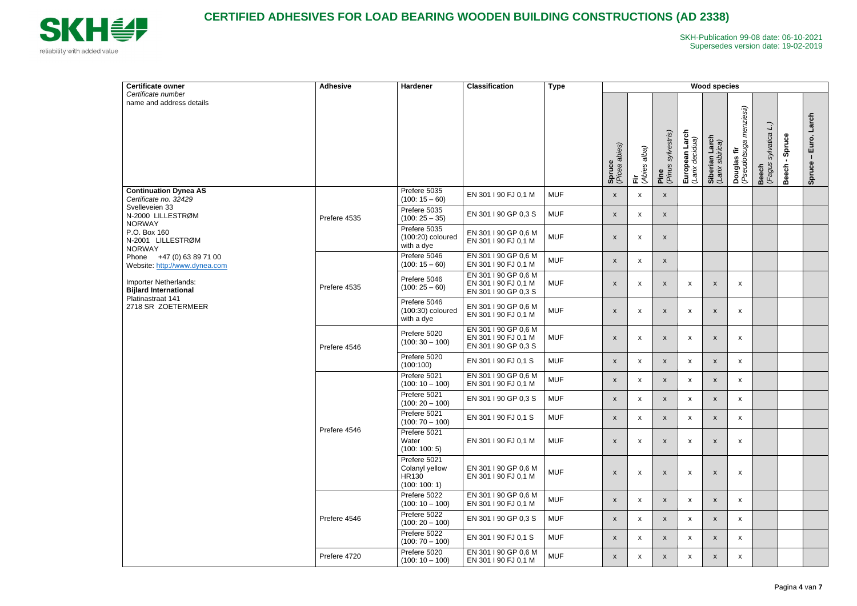

| <b>Certificate owner</b>                                                                                                                                                                                                                                                     | <b>Adhesive</b> | Hardener                                                        | <b>Classification</b>                                                | <b>Type</b> | <b>Wood species</b>       |                           |                                            |                                   |                                    |                                                     |                                  |                 |                          |  |
|------------------------------------------------------------------------------------------------------------------------------------------------------------------------------------------------------------------------------------------------------------------------------|-----------------|-----------------------------------------------------------------|----------------------------------------------------------------------|-------------|---------------------------|---------------------------|--------------------------------------------|-----------------------------------|------------------------------------|-----------------------------------------------------|----------------------------------|-----------------|--------------------------|--|
| Certificate number<br>name and address details                                                                                                                                                                                                                               |                 |                                                                 |                                                                      |             | Spruce<br>(Picea abies)   | (Abies alba)<br>È.        | <b>Pine</b><br>( <i>Pinus sylvestris</i> ) | European Larch<br>(Larix decidua) | Siberian Larch<br>(Larix sibirica) | menziesii)<br>Douglas fir<br>( <i>Pseudotsuga l</i> | sylvatica L.)<br>Beech<br>(Fagus | Spruce<br>Beech | Larch<br>Euro.<br>Spruce |  |
| <b>Continuation Dynea AS</b><br>Certificate no. 32429                                                                                                                                                                                                                        |                 | Prefere 5035<br>$(100: 15 - 60)$                                | EN 301 I 90 FJ 0,1 M                                                 | <b>MUF</b>  | $\mathsf{x}$              | X                         | $\mathsf{X}$                               |                                   |                                    |                                                     |                                  |                 |                          |  |
| Svelleveien 33<br>N-2000 LILLESTRØM<br><b>NORWAY</b><br>P.O. Box 160<br>N-2001 LILLESTRØM<br><b>NORWAY</b><br>Phone +47 (0) 63 89 71 00<br>Website: http://www.dynea.com<br>Importer Netherlands:<br><b>Bijlard International</b><br>Platinastraat 141<br>2718 SR ZOETERMEER | Prefere 4535    | Prefere 5035<br>$(100: 25 - 35)$                                | EN 301   90 GP 0,3 S                                                 | <b>MUF</b>  | $\mathsf{x}$              | X                         | $\mathsf{x}$                               |                                   |                                    |                                                     |                                  |                 |                          |  |
|                                                                                                                                                                                                                                                                              |                 | Prefere 5035<br>$(100:20)$ coloured<br>with a dye               | EN 301 I 90 GP 0,6 M<br>EN 301 I 90 FJ 0,1 M                         | <b>MUF</b>  | $\boldsymbol{\mathsf{x}}$ | X                         | $\boldsymbol{\mathsf{x}}$                  |                                   |                                    |                                                     |                                  |                 |                          |  |
|                                                                                                                                                                                                                                                                              |                 | Prefere 5046<br>$(100: 15 - 60)$                                | EN 301 I 90 GP 0,6 M<br>EN 301   90 FJ 0,1 M                         | <b>MUF</b>  | $\mathsf{x}$              | X                         | $\mathsf{x}$                               |                                   |                                    |                                                     |                                  |                 |                          |  |
|                                                                                                                                                                                                                                                                              | Prefere 4535    | Prefere 5046<br>$(100:25-60)$                                   | EN 301 I 90 GP 0,6 M<br>EN 301   90 FJ 0,1 M<br>EN 301   90 GP 0,3 S | <b>MUF</b>  | $\boldsymbol{\mathsf{x}}$ | X                         | $\boldsymbol{\mathsf{x}}$                  | X                                 | $\boldsymbol{\mathsf{X}}$          | X                                                   |                                  |                 |                          |  |
|                                                                                                                                                                                                                                                                              |                 | Prefere 5046<br>$(100:30)$ coloured<br>with a dye               | EN 301 I 90 GP 0,6 M<br>EN 301 I 90 FJ 0,1 M                         | <b>MUF</b>  | $\boldsymbol{\mathsf{x}}$ | Х                         | $\boldsymbol{\mathsf{x}}$                  | $\boldsymbol{\mathsf{x}}$         | $\boldsymbol{\mathsf{X}}$          | $\boldsymbol{\mathsf{x}}$                           |                                  |                 |                          |  |
|                                                                                                                                                                                                                                                                              | Prefere 4546    | Prefere 5020<br>$(100:30 - 100)$                                | EN 301 I 90 GP 0,6 M<br>EN 301 I 90 FJ 0,1 M<br>EN 301   90 GP 0,3 S | <b>MUF</b>  | $\boldsymbol{\mathsf{x}}$ | X                         | $\mathsf{x}$                               | $\boldsymbol{\mathsf{x}}$         | X                                  | X                                                   |                                  |                 |                          |  |
|                                                                                                                                                                                                                                                                              |                 | Prefere 5020<br>(100:100)                                       | EN 301   90 FJ 0,1 S                                                 | <b>MUF</b>  | $\mathsf{x}$              | X                         | $\mathsf{X}$                               | X                                 | $\boldsymbol{\mathsf{x}}$          | X                                                   |                                  |                 |                          |  |
|                                                                                                                                                                                                                                                                              |                 | Prefere 5021<br>$(100: 10 - 100)$                               | EN 301   90 GP 0,6 M<br>EN 301 I 90 FJ 0,1 M                         | <b>MUF</b>  | $\mathsf{x}$              | X                         | $\mathsf{x}$                               | X                                 | $\boldsymbol{\mathsf{X}}$          | X                                                   |                                  |                 |                          |  |
|                                                                                                                                                                                                                                                                              |                 | Prefere 5021<br>$(100:20 - 100)$                                | EN 301   90 GP 0,3 S                                                 | <b>MUF</b>  | X                         | X                         | $\mathsf{X}$                               | X                                 | $\boldsymbol{\mathsf{X}}$          | X                                                   |                                  |                 |                          |  |
|                                                                                                                                                                                                                                                                              |                 | Prefere 5021<br>$(100:70 - 100)$                                | EN 301   90 FJ 0,1 S                                                 | <b>MUF</b>  | $\mathsf{x}$              | $\boldsymbol{\mathsf{x}}$ | $\mathsf{X}$                               | X                                 | $\boldsymbol{\mathsf{x}}$          | $\mathsf{x}$                                        |                                  |                 |                          |  |
|                                                                                                                                                                                                                                                                              | Prefere 4546    | Prefere 5021<br>Water<br>(100: 100: 5)                          | EN 301   90 FJ 0,1 M                                                 | <b>MUF</b>  | $\boldsymbol{\mathsf{x}}$ | $\boldsymbol{\mathsf{x}}$ | $\boldsymbol{\mathsf{x}}$                  | $\boldsymbol{\mathsf{x}}$         | $\boldsymbol{\mathsf{X}}$          | $\boldsymbol{\mathsf{x}}$                           |                                  |                 |                          |  |
|                                                                                                                                                                                                                                                                              |                 | Prefere 5021<br>Colanyl yellow<br><b>HR130</b><br>(100: 100: 1) | EN 301 I 90 GP 0,6 M<br>EN 301   90 FJ 0,1 M                         | <b>MUF</b>  | X                         | X                         | $\pmb{\mathsf{X}}$                         | X                                 | X                                  | X                                                   |                                  |                 |                          |  |
|                                                                                                                                                                                                                                                                              |                 | Prefere 5022<br>$(100: 10 - 100)$                               | EN 301 I 90 GP 0,6 M<br>EN 301 I 90 FJ 0,1 M                         | <b>MUF</b>  | $\mathsf{x}$              | $\boldsymbol{\mathsf{X}}$ | $\mathsf{X}$                               | X                                 | $\boldsymbol{\mathsf{x}}$          | X                                                   |                                  |                 |                          |  |
|                                                                                                                                                                                                                                                                              | Prefere 4546    | Prefere 5022<br>$(100:20 - 100)$                                | EN 301   90 GP 0,3 S                                                 | <b>MUF</b>  | $\boldsymbol{\mathsf{X}}$ | $\boldsymbol{\mathsf{x}}$ | $\mathsf{x}$                               | X                                 | $\boldsymbol{\mathsf{x}}$          | $\boldsymbol{\mathsf{x}}$                           |                                  |                 |                          |  |
|                                                                                                                                                                                                                                                                              |                 | Prefere 5022<br>$(100:70 - 100)$                                | EN 301   90 FJ 0,1 S                                                 | <b>MUF</b>  | $\mathsf{x}$              | $\boldsymbol{\mathsf{x}}$ | $\mathsf{X}$                               | X                                 | X                                  | X                                                   |                                  |                 |                          |  |
|                                                                                                                                                                                                                                                                              | Prefere 4720    | Prefere 5020<br>$(100: 10 - 100)$                               | EN 301 I 90 GP 0,6 M<br>EN 301 I 90 FJ 0,1 M                         | <b>MUF</b>  | $\boldsymbol{\mathsf{X}}$ | X                         | $\pmb{\mathsf{X}}$                         | X                                 | $\boldsymbol{\mathsf{x}}$          | X                                                   |                                  |                 |                          |  |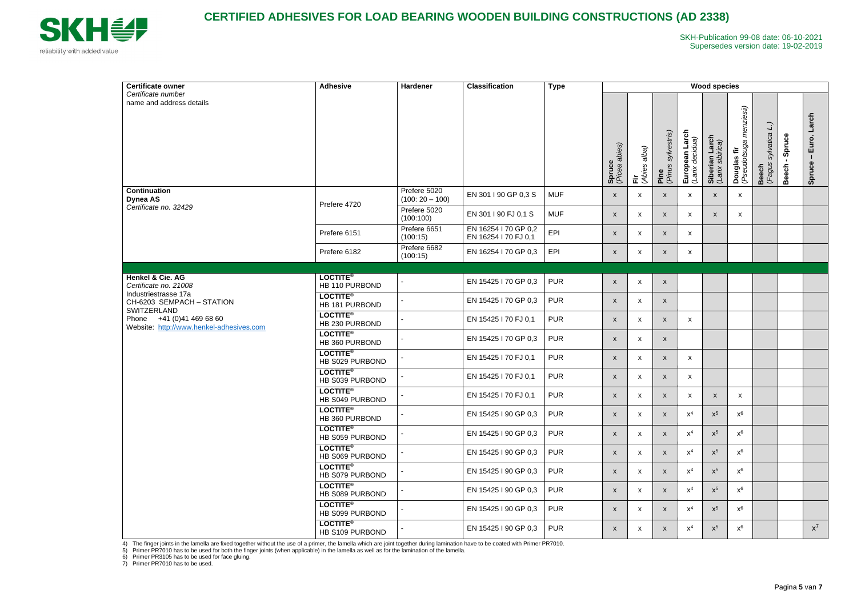

| <b>Certificate owner</b>                                                                                                                                                               | <b>Adhesive</b>                         | <b>Hardener</b>                  | <b>Classification</b>                        | <b>Type</b> | <b>Wood species</b>       |                           |                            |                                   |                                    |                                             |                                                         |                        |                          |  |
|----------------------------------------------------------------------------------------------------------------------------------------------------------------------------------------|-----------------------------------------|----------------------------------|----------------------------------------------|-------------|---------------------------|---------------------------|----------------------------|-----------------------------------|------------------------------------|---------------------------------------------|---------------------------------------------------------|------------------------|--------------------------|--|
| Certificate number<br>name and address details                                                                                                                                         |                                         |                                  |                                              |             | Spruce<br>(Picea abies)   | alba)<br>(Abies<br>這      | (Pinus sylvestris)<br>Pine | European Larch<br>(Larix decidua) | Siberian Larch<br>(Larix sibirica) | menziesii)<br>Douglas fir<br>(Pseudotsuga i | $\overline{\mathsf{L}}$<br>sylvatica<br>Beech<br>(Fagus | Spruce<br><b>Beech</b> | Larch<br>Euro.<br>Spruce |  |
| <b>Continuation</b><br><b>Dynea AS</b><br>Certificate no. 32429                                                                                                                        | Prefere 4720                            | Prefere 5020<br>$(100:20 - 100)$ | EN 301   90 GP 0,3 S                         | <b>MUF</b>  | $\mathsf{x}$              | X                         | $\mathsf{x}$               | X                                 | X                                  | X                                           |                                                         |                        |                          |  |
|                                                                                                                                                                                        |                                         | Prefere 5020<br>(100:100)        | EN 301   90 FJ 0,1 S                         | <b>MUF</b>  | $\mathsf{x}$              | $\boldsymbol{\mathsf{x}}$ | $\boldsymbol{\mathsf{x}}$  | $\mathsf{x}$                      | $\mathsf{x}$                       | $\mathsf{x}$                                |                                                         |                        |                          |  |
|                                                                                                                                                                                        | Prefere 6151                            | Prefere 6651<br>(100:15)         | EN 16254 I 70 GP 0,2<br>EN 16254 I 70 FJ 0,1 | EPI         | $\mathsf{x}$              | $\mathsf{x}$              | $\mathsf{x}$               | $\mathsf{x}$                      |                                    |                                             |                                                         |                        |                          |  |
|                                                                                                                                                                                        | Prefere 6182                            | Prefere 6682<br>(100:15)         | EN 16254 I 70 GP 0,3                         | EPI         | $\boldsymbol{\mathsf{x}}$ | X                         | $\mathsf{x}$               | $\mathsf{x}$                      |                                    |                                             |                                                         |                        |                          |  |
|                                                                                                                                                                                        |                                         |                                  |                                              |             |                           |                           |                            |                                   |                                    |                                             |                                                         |                        |                          |  |
| Henkel & Cie. AG<br>Certificate no. 21008<br>Industriestrasse 17a<br>CH-6203 SEMPACH - STATION<br>SWITZERLAND<br>Phone +41 (0)41 469 68 60<br>Website: http://www.henkel-adhesives.com | <b>LOCTITE®</b><br>HB 110 PURBOND       |                                  | EN 15425 I 70 GP 0,3                         | <b>PUR</b>  | $\mathsf{x}$              | $\mathsf{X}$              | $\mathsf{x}$               |                                   |                                    |                                             |                                                         |                        |                          |  |
|                                                                                                                                                                                        | <b>LOCTITE®</b><br>HB 181 PURBOND       |                                  | EN 15425 I 70 GP 0,3                         | <b>PUR</b>  | $\mathsf{x}$              | $\boldsymbol{\mathsf{x}}$ | $\mathsf{x}$               |                                   |                                    |                                             |                                                         |                        |                          |  |
|                                                                                                                                                                                        | LOCTITE <sup>®</sup><br>HB 230 PURBOND  |                                  | EN 15425 I 70 FJ 0,1                         | <b>PUR</b>  | $\mathsf{x}$              | X                         | $\boldsymbol{\mathsf{x}}$  | $\mathsf{x}$                      |                                    |                                             |                                                         |                        |                          |  |
|                                                                                                                                                                                        | <b>LOCTITE®</b><br>HB 360 PURBOND       |                                  | EN 15425 I 70 GP 0,3                         | <b>PUR</b>  | $\boldsymbol{\mathsf{x}}$ | X                         | $\mathsf{x}$               |                                   |                                    |                                             |                                                         |                        |                          |  |
|                                                                                                                                                                                        | <b>LOCTITE®</b><br>HB S029 PURBOND      |                                  | EN 15425 I 70 FJ 0,1                         | <b>PUR</b>  | $\mathsf{x}$              | X                         | $\mathsf{x}$               | $\mathsf{x}$                      |                                    |                                             |                                                         |                        |                          |  |
|                                                                                                                                                                                        | LOCTITE <sup>®</sup><br>HB S039 PURBOND |                                  | EN 15425 I 70 FJ 0,1                         | <b>PUR</b>  | $\mathsf{x}$              | $\boldsymbol{\mathsf{x}}$ | $\boldsymbol{\mathsf{x}}$  | X                                 |                                    |                                             |                                                         |                        |                          |  |
|                                                                                                                                                                                        | <b>LOCTITE®</b><br>HB S049 PURBOND      |                                  | EN 15425 I 70 FJ 0,1                         | <b>PUR</b>  | X                         | Х                         | X                          | X                                 | X                                  | X                                           |                                                         |                        |                          |  |
|                                                                                                                                                                                        | <b>LOCTITE®</b><br>HB 360 PURBOND       |                                  | EN 15425 I 90 GP 0,3                         | <b>PUR</b>  | $\mathsf{x}$              | $\boldsymbol{\mathsf{x}}$ | $\boldsymbol{\mathsf{x}}$  | $x^4$                             | $x^5$                              | $x^6$                                       |                                                         |                        |                          |  |
|                                                                                                                                                                                        | <b>LOCTITE®</b><br>HB S059 PURBOND      |                                  | EN 15425 I 90 GP 0,3                         | <b>PUR</b>  | $\mathsf{x}$              | $\mathsf{x}$              | $\mathsf{x}$               | $x^4$                             | $x^5$                              | $x^6$                                       |                                                         |                        |                          |  |
|                                                                                                                                                                                        | LOCTITE <sup>®</sup><br>HB S069 PURBOND |                                  | EN 15425 I 90 GP 0,3                         | <b>PUR</b>  | $\mathsf{x}$              | X                         | $\mathsf{x}$               | $x^4$                             | $x^5$                              | $x^6$                                       |                                                         |                        |                          |  |
|                                                                                                                                                                                        | <b>LOCTITE®</b><br>HB S079 PURBOND      |                                  | EN 15425 I 90 GP 0,3                         | <b>PUR</b>  | $\mathsf{x}$              | X                         | $\mathsf{x}$               | $x^4$                             | $x^5$                              | $x^6$                                       |                                                         |                        |                          |  |
|                                                                                                                                                                                        | LOCTITE <sup>®</sup><br>HB S089 PURBOND |                                  | EN 15425 I 90 GP 0,3                         | <b>PUR</b>  | $\mathsf{x}$              | X                         | $\mathsf{x}$               | $x^4$                             | $x^5$                              | $x^6$                                       |                                                         |                        |                          |  |
|                                                                                                                                                                                        | LOCTITE <sup>®</sup><br>HB S099 PURBOND |                                  | EN 15425 I 90 GP 0,3                         | <b>PUR</b>  | $\mathsf{x}$              | $\boldsymbol{\mathsf{x}}$ | $\mathsf{x}$               | $x^4$                             | $x^5$                              | $x^6$                                       |                                                         |                        |                          |  |
|                                                                                                                                                                                        | <b>LOCTITE®</b><br>HB S109 PURBOND      |                                  | EN 15425 I 90 GP 0,3                         | <b>PUR</b>  | $\mathsf{x}$              | X                         | $\mathsf{x}$               | $x^4$                             | $x^5$                              | $x^6$                                       |                                                         |                        | $x^7$                    |  |

4) The finger joints in the lamella are fixed together without the use of a primer, the lamella which are joint together during lamination have to be coated with Primer PR7010.

5) Primer PR7010 has to be used for both the finger joints (when applicable) in the lamella as well as for the lamination of the lamella.

6) Primer PR3105 has to be used for face gluing.

7) Primer PR7010 has to be used.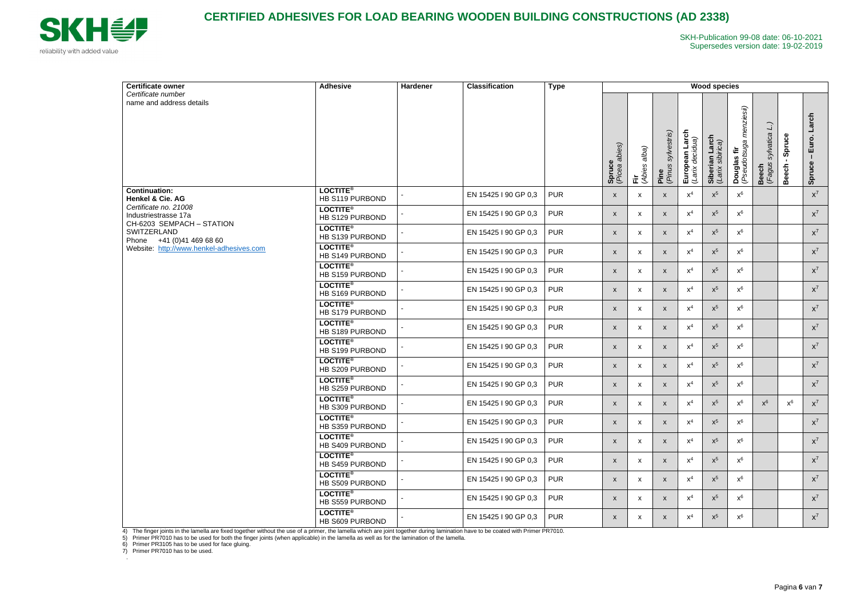

| Certificate owner                                                                                                                                                                                              | <b>Adhesive</b>                    | Hardener | <b>Classification</b><br><b>Type</b> | <b>Wood species</b> |                                |                      |                               |                                   |                                                   |                                             |                                                         |                    |                          |
|----------------------------------------------------------------------------------------------------------------------------------------------------------------------------------------------------------------|------------------------------------|----------|--------------------------------------|---------------------|--------------------------------|----------------------|-------------------------------|-----------------------------------|---------------------------------------------------|---------------------------------------------|---------------------------------------------------------|--------------------|--------------------------|
| Certificate number<br>name and address details                                                                                                                                                                 |                                    |          |                                      |                     | <b>Spruce</b><br>(Picea abies) | alba)<br>(Abies<br>這 | sylvestris)<br>Pine<br>(Pinus | European Larch<br>(Larix decidua) | ian Larch<br>(sibirica)<br>Siberian<br>(Larix sib | menziesii)<br>Douglas fir<br>(Pseudotsuga i | $\overline{\mathsf{L}}$<br>sylvatica<br>Beech<br>(Fagus | Spruce<br>둥<br>Bee | Larch<br>Euro.<br>Spruce |
| <b>Continuation:</b><br>Henkel & Cie. AG<br>Certificate no. 21008<br>Industriestrasse 17a<br>CH-6203 SEMPACH - STATION<br>SWITZERLAND<br>Phone +41 (0)41 469 68 60<br>Website: http://www.henkel-adhesives.com | <b>LOCTITE®</b><br>HB S119 PURBOND |          | EN 15425 I 90 GP 0,3                 | <b>PUR</b>          | $\mathsf{x}$                   | X                    | $\boldsymbol{\mathsf{x}}$     | $\mathsf{X}^4$                    | $x^5$                                             | $x^6$                                       |                                                         |                    | $\mathsf{X}^7$           |
|                                                                                                                                                                                                                | <b>LOCTITE®</b><br>HB S129 PURBOND |          | EN 15425 I 90 GP 0,3                 | <b>PUR</b>          | $\boldsymbol{\mathsf{x}}$      | X                    | $\boldsymbol{\mathsf{x}}$     | $\mathsf{X}^4$                    | $x^5$                                             | $x^6$                                       |                                                         |                    | $x^7$                    |
|                                                                                                                                                                                                                | <b>LOCTITE®</b><br>HB S139 PURBOND |          | EN 15425 I 90 GP 0,3                 | <b>PUR</b>          | $\mathsf{x}$                   | X                    | $\boldsymbol{\mathsf{X}}$     | $\mathsf{X}^4$                    | $x^5$                                             | $x^6$                                       |                                                         |                    | $x^7$                    |
|                                                                                                                                                                                                                | <b>LOCTITE®</b><br>HB S149 PURBOND |          | EN 15425 I 90 GP 0,3                 | <b>PUR</b>          | $\mathsf{x}$                   | X                    | $\mathsf{x}$                  | $x^4$                             | $x^5$                                             | $x^6$                                       |                                                         |                    | $X^7$                    |
|                                                                                                                                                                                                                | <b>LOCTITE®</b><br>HB S159 PURBOND |          | EN 15425 I 90 GP 0,3                 | <b>PUR</b>          | $\mathsf{x}$                   | X                    | $\boldsymbol{\mathsf{x}}$     | $\mathsf{X}^4$                    | $x^5$                                             | $x^6$                                       |                                                         |                    | $\mathsf{X}^7$           |
|                                                                                                                                                                                                                | <b>LOCTITE®</b><br>HB S169 PURBOND |          | EN 15425 I 90 GP 0,3                 | <b>PUR</b>          | X                              | X                    | $\boldsymbol{\mathsf{x}}$     | $x^4$                             | $x^5$                                             | $x^6$                                       |                                                         |                    | $\mathsf{X}^7$           |
|                                                                                                                                                                                                                | <b>LOCTITE®</b><br>HB S179 PURBOND |          | EN 15425 I 90 GP 0,3                 | <b>PUR</b>          | $\mathsf{x}$                   | X                    | $\pmb{\mathsf{X}}$            | $\mathsf{X}^4$                    | $x^5$                                             | $x^6$                                       |                                                         |                    | $X^7$                    |
|                                                                                                                                                                                                                | <b>LOCTITE®</b><br>HB S189 PURBOND |          | EN 15425 I 90 GP 0,3                 | <b>PUR</b>          | $\mathsf{x}$                   | X                    | $\boldsymbol{\mathsf{x}}$     | $\mathsf{X}^4$                    | $\mathsf{X}^5$                                    | $x^6$                                       |                                                         |                    | $\mathsf{X}^7$           |
|                                                                                                                                                                                                                | <b>LOCTITE®</b><br>HB S199 PURBOND |          | EN 15425 I 90 GP 0,3                 | <b>PUR</b>          | $\mathsf{x}$                   | X                    | $\mathsf{x}$                  | $x^4$                             | $x^5$                                             | $x^6$                                       |                                                         |                    | $x^7$                    |
|                                                                                                                                                                                                                | <b>LOCTITE®</b><br>HB S209 PURBOND |          | EN 15425 I 90 GP 0,3                 | <b>PUR</b>          | $\mathsf{x}$                   | X                    | $\boldsymbol{\mathsf{x}}$     | $\mathsf{X}^4$                    | $x^5$                                             | $x^6$                                       |                                                         |                    | $\mathsf{X}^7$           |
|                                                                                                                                                                                                                | <b>LOCTITE®</b><br>HB S259 PURBOND |          | EN 15425 I 90 GP 0,3                 | <b>PUR</b>          | $\mathsf{x}$                   | X                    | $\boldsymbol{\mathsf{x}}$     | $x^4$                             | $x^5$                                             | $x^6$                                       |                                                         |                    | $x^7$                    |
|                                                                                                                                                                                                                | <b>LOCTITE®</b><br>HB S309 PURBOND |          | EN 15425 I 90 GP 0,3                 | <b>PUR</b>          | X                              | X                    | $\pmb{\mathsf{X}}$            | $\mathsf{X}^4$                    | $x^5$                                             | $x^6$                                       | $x^6$                                                   | $x^6$              | $x^7$                    |
|                                                                                                                                                                                                                | <b>LOCTITE®</b><br>HB S359 PURBOND |          | EN 15425 I 90 GP 0.3                 | <b>PUR</b>          | $\mathsf{X}$                   | X                    | $\mathsf{X}$                  | $x^4$                             | $x^5$                                             | $x^6$                                       |                                                         |                    | $x^7$                    |
|                                                                                                                                                                                                                | <b>LOCTITE®</b><br>HB S409 PURBOND |          | EN 15425 I 90 GP 0,3                 | <b>PUR</b>          | $\mathsf{x}$                   | X                    | $\mathsf{x}$                  | $x^4$                             | $x^5$                                             | $x^6$                                       |                                                         |                    | $X^7$                    |
|                                                                                                                                                                                                                | <b>LOCTITE®</b><br>HB S459 PURBOND |          | EN 15425 I 90 GP 0,3                 | <b>PUR</b>          | $\mathsf{x}$                   | X                    | $\boldsymbol{\mathsf{x}}$     | $\mathsf{X}^4$                    | $x^5$                                             | $x^6$                                       |                                                         |                    | $X^7$                    |
|                                                                                                                                                                                                                | <b>LOCTITE®</b><br>HB S509 PURBOND |          | EN 15425 I 90 GP 0,3                 | <b>PUR</b>          | $\mathsf{X}$                   | X                    | $\mathsf{x}$                  | $x^4$                             | $x^5$                                             | $x^6$                                       |                                                         |                    | $x^7$                    |
|                                                                                                                                                                                                                | <b>LOCTITE®</b><br>HB S559 PURBOND |          | EN 15425 I 90 GP 0,3                 | <b>PUR</b>          | $\mathsf{x}$                   | X                    | $\mathsf{x}$                  | $\mathsf{X}^4$                    | $x^5$                                             | $x^6$                                       |                                                         |                    | $x^7$                    |
|                                                                                                                                                                                                                | <b>LOCTITE®</b><br>HB S609 PURBOND |          | EN 15425 I 90 GP 0,3                 | <b>PUR</b>          | $\mathsf{X}$                   | X                    | $\mathsf{x}$                  | $x^4$                             | $\mathsf{X}^5$                                    | $x^6$                                       |                                                         |                    | $x^7$                    |

4) The finger joints in the lamella are fixed together without the use of a primer, the lamella which are joint together during lamination have to be coated with Primer PR7010.

5) Primer PR7010 has to be used for both the finger joints (when applicable) in the lamella as well as for the lamination of the lamella.

6) Primer PR3105 has to be used for face gluing.

7) Primer PR7010 has to be used.

.